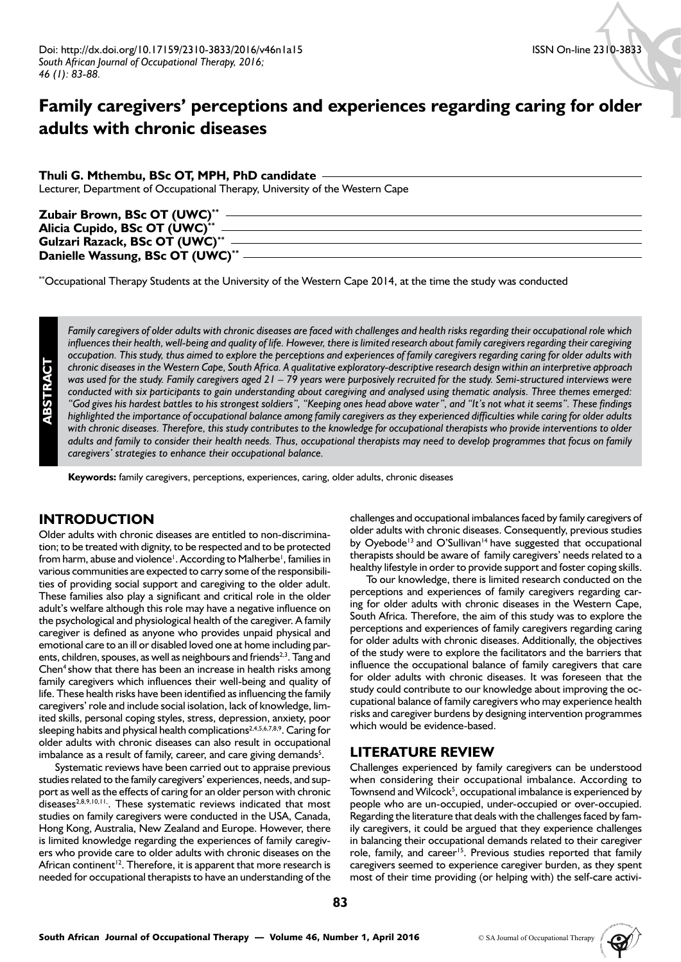# **Family caregivers' perceptions and experiences regarding caring for older adults with chronic diseases**

## **Thuli G. Mthembu, BSc OT, MPH, PhD candidate**

Lecturer, Department of Occupational Therapy, University of the Western Cape

| Zubair Brown, BSc OT (UWC)**     |  |
|----------------------------------|--|
| Alicia Cupido, BSc OT (UWC)**    |  |
| Gulzari Razack, BSc OT (UWC)**   |  |
| Danielle Wassung, BSc OT (UWC)** |  |

\*\*Occupational Therapy Students at the University of the Western Cape 2014, at the time the study was conducted

*Family caregivers of older adults with chronic diseases are faced with challenges and health risks regarding their occupational role which*  influences their health, well-being and quality of life. However, there is limited research about family caregivers regarding their caregiving *occupation. This study, thus aimed to explore the perceptions and experiences of family caregivers regarding caring for older adults with chronic diseases in the Western Cape, South Africa. A qualitative exploratory-descriptive research design within an interpretive approach was used for the study. Family caregivers aged 21 – 79 years were purposively recruited for the study. Semi-structured interviews were conducted with six participants to gain understanding about caregiving and analysed using thematic analysis. Three themes emerged: "God gives his hardest battles to his strongest soldiers", "Keeping ones head above water", and "It's not what it seems". These findings highlighted the importance of occupational balance among family caregivers as they experienced difficulties while caring for older adults with chronic diseases. Therefore, this study contributes to the knowledge for occupational therapists who provide interventions to older adults and family to consider their health needs. Thus, occupational therapists may need to develop programmes that focus on family caregivers' strategies to enhance their occupational balance.*

**Keywords:** family caregivers, perceptions, experiences, caring, older adults, chronic diseases

# **INTRODUCTION**

Older adults with chronic diseases are entitled to non-discrimination; to be treated with dignity, to be respected and to be protected from harm, abuse and violence<sup>1</sup>. According to Malherbe<sup>1</sup>, families in various communities are expected to carry some of the responsibilities of providing social support and caregiving to the older adult. These families also play a significant and critical role in the older adult's welfare although this role may have a negative influence on the psychological and physiological health of the caregiver. A family caregiver is defined as anyone who provides unpaid physical and emotional care to an ill or disabled loved one at home including parents, children, spouses, as well as neighbours and friends<sup>2,3</sup>. Tang and Chen<sup>4</sup> show that there has been an increase in health risks among family caregivers which influences their well-being and quality of life. These health risks have been identified as influencing the family caregivers' role and include social isolation, lack of knowledge, limited skills, personal coping styles, stress, depression, anxiety, poor sleeping habits and physical health complications<sup>2,4,5,6,7,8,9</sup>. Caring for older adults with chronic diseases can also result in occupational imbalance as a result of family, career, and care giving demands<sup>5</sup>.

Systematic reviews have been carried out to appraise previous studies related to the family caregivers' experiences, needs, and support as well as the effects of caring for an older person with chronic diseases<sup>2,8,9,10,11</sup>. These systematic reviews indicated that most studies on family caregivers were conducted in the USA, Canada, Hong Kong, Australia, New Zealand and Europe. However, there is limited knowledge regarding the experiences of family caregivers who provide care to older adults with chronic diseases on the African continent<sup>12</sup>. Therefore, it is apparent that more research is needed for occupational therapists to have an understanding of the challenges and occupational imbalances faced by family caregivers of older adults with chronic diseases. Consequently, previous studies by Oyebode<sup>13</sup> and O'Sullivan<sup>14</sup> have suggested that occupational therapists should be aware of family caregivers' needs related to a healthy lifestyle in order to provide support and foster coping skills.

To our knowledge, there is limited research conducted on the perceptions and experiences of family caregivers regarding caring for older adults with chronic diseases in the Western Cape, South Africa. Therefore, the aim of this study was to explore the perceptions and experiences of family caregivers regarding caring for older adults with chronic diseases. Additionally, the objectives of the study were to explore the facilitators and the barriers that influence the occupational balance of family caregivers that care for older adults with chronic diseases. It was foreseen that the study could contribute to our knowledge about improving the occupational balance of family caregivers who may experience health risks and caregiver burdens by designing intervention programmes which would be evidence-based.

# **LITERATURE REVIEW**

Challenges experienced by family caregivers can be understood when considering their occupational imbalance. According to Townsend and Wilcock<sup>5</sup>, occupational imbalance is experienced by people who are un-occupied, under-occupied or over-occupied. Regarding the literature that deals with the challenges faced by family caregivers, it could be argued that they experience challenges in balancing their occupational demands related to their caregiver role, family, and career<sup>15</sup>. Previous studies reported that family caregivers seemed to experience caregiver burden, as they spent most of their time providing (or helping with) the self-care activi-

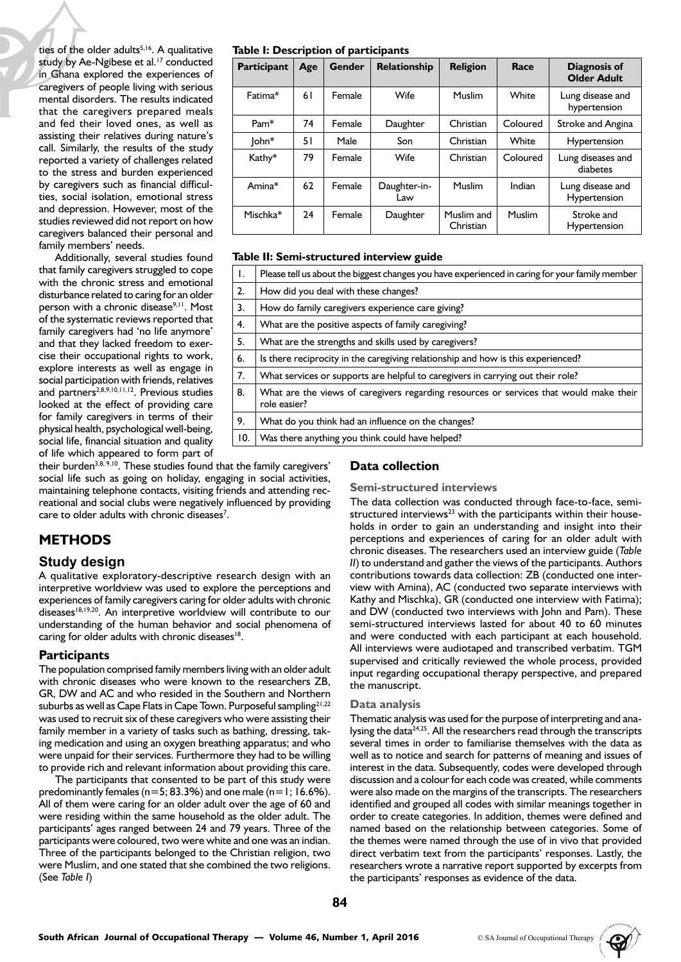ties of the older adults $5,16$ . A qualitative study by Ae-Ngibese et al.<sup>17</sup> conducted in Ghana explored the experiences of caregivers of people living with serious mental disorders. The results indicated that the caregivers prepared meals and fed their loved ones, as well as assisting their relatives during nature's call. Similarly, the results of the study reported a variety of challenges related to the stress and burden experienced by caregivers such as financial difficulties, social isolation, emotional stress and depression. However, most of the studies reviewed did not report on how caregivers balanced their personal and family members' needs.

Additionally, several studies found that family caregivers struggled to cope with the chronic stress and emotional disturbance related to caring for an older person with a chronic disease<sup>9,11</sup>. Most of the systematic reviews reported that family caregivers had 'no life anymore' and that they lacked freedom to exercise their occupational rights to work, explore interests as well as engage in social participation with friends, relatives and partners<sup>2,8,9,10,11,12</sup>. Previous studies looked at the effect of providing care for family caregivers in terms of their physical health, psychological well-being, social life, financial situation and quality of life which appeared to form part of

their burden<sup>3,8, 9,10</sup>. These studies found that the family caregivers' social life such as going on holiday, engaging in social activities, maintaining telephone contacts, visiting friends and attending recreational and social clubs were negatively influenced by providing care to older adults with chronic diseases<sup>7</sup>.

# **METHODS**

## **Study design**

A qualitative exploratory-descriptive research design with an interpretive worldview was used to explore the perceptions and experiences of family caregivers caring for older adults with chronic diseases<sup>18,19,20</sup>. An interpretive worldview will contribute to our understanding of the human behavior and social phenomena of caring for older adults with chronic diseases<sup>18</sup>.

## **Participants**

The population comprised family members living with an older adult with chronic diseases who were known to the researchers ZB, GR, DW and AC and who resided in the Southern and Northern suburbs as well as Cape Flats in Cape Town. Purposeful sampling<sup>21,22</sup> was used to recruit six of these caregivers who were assisting their family member in a variety of tasks such as bathing, dressing, taking medication and using an oxygen breathing apparatus; and who were unpaid for their services. Furthermore they had to be willing to provide rich and relevant information about providing this care.

The participants that consented to be part of this study were predominantly females ( $n=5$ ; 83.3%) and one male ( $n=1$ ; 16.6%). All of them were caring for an older adult over the age of 60 and were residing within the same household as the older adult. The participants' ages ranged between 24 and 79 years. Three of the participants were coloured, two were white and one was an indian. Three of the participants belonged to the Christian religion, two were Muslim, and one stated that she combined the two religions. (See *Table I*)

#### **Table I: Description of participants**

| Participant | Age | Gender | Relationship        | <b>Religion</b>         | Race     | <b>Diagnosis of</b><br><b>Older Adult</b> |  |
|-------------|-----|--------|---------------------|-------------------------|----------|-------------------------------------------|--|
| Fatima*     | 61  | Female | Wife                | Muslim                  | White    | Lung disease and<br>hypertension          |  |
| $Pam*$      | 74  | Female | Daughter            | Christian               | Coloured | Stroke and Angina                         |  |
| John*       | 51  | Male   | Son                 | Christian               | White    | Hypertension                              |  |
| Kathy*      | 79  | Female | Wife                | Christian               | Coloured | Lung diseases and<br>diabetes             |  |
| Amina*      | 62  | Female | Daughter-in-<br>Law | Muslim                  | Indian   | Lung disease and<br>Hypertension          |  |
| Mischka*    | 24  | Female | Daughter            | Muslim and<br>Christian | Muslim   | Stroke and<br>Hypertension                |  |

#### **Table II: Semi-structured interview guide**

| Ι.  | Please tell us about the biggest changes you have experienced in caring for your family member         |
|-----|--------------------------------------------------------------------------------------------------------|
| 2.  | How did you deal with these changes?                                                                   |
| 3.  | How do family caregivers experience care giving?                                                       |
| 4.  | What are the positive aspects of family caregiving?                                                    |
| 5.  | What are the strengths and skills used by caregivers?                                                  |
| 6.  | Is there reciprocity in the caregiving relationship and how is this experienced?                       |
| 7.  | What services or supports are helpful to caregivers in carrying out their role?                        |
| 8.  | What are the views of caregivers regarding resources or services that would make their<br>role easier? |
| 9.  | What do you think had an influence on the changes?                                                     |
| 10. | Was there anything you think could have helped?                                                        |

# **Data collection**

#### **Semi-structured interviews**

The data collection was conducted through face-to-face, semistructured interviews $^{23}$  with the participants within their households in order to gain an understanding and insight into their perceptions and experiences of caring for an older adult with chronic diseases. The researchers used an interview guide (*Table II*) to understand and gather the views of the participants. Authors contributions towards data collection: ZB (conducted one interview with Amina), AC (conducted two separate interviews with Kathy and Mischka), GR (conducted one interview with Fatima); and DW (conducted two interviews with John and Pam). These semi-structured interviews lasted for about 40 to 60 minutes and were conducted with each participant at each household. All interviews were audiotaped and transcribed verbatim. TGM supervised and critically reviewed the whole process, provided input regarding occupational therapy perspective, and prepared the manuscript.

#### **Data analysis**

Thematic analysis was used for the purpose of interpreting and analysing the data<sup>24,25</sup>. All the researchers read through the transcripts several times in order to familiarise themselves with the data as well as to notice and search for patterns of meaning and issues of interest in the data. Subsequently, codes were developed through discussion and a colour for each code was created, while comments were also made on the margins of the transcripts. The researchers identified and grouped all codes with similar meanings together in order to create categories. In addition, themes were defined and named based on the relationship between categories. Some of the themes were named through the use of in vivo that provided direct verbatim text from the participants' responses. Lastly, the researchers wrote a narrative report supported by excerpts from the participants' responses as evidence of the data.

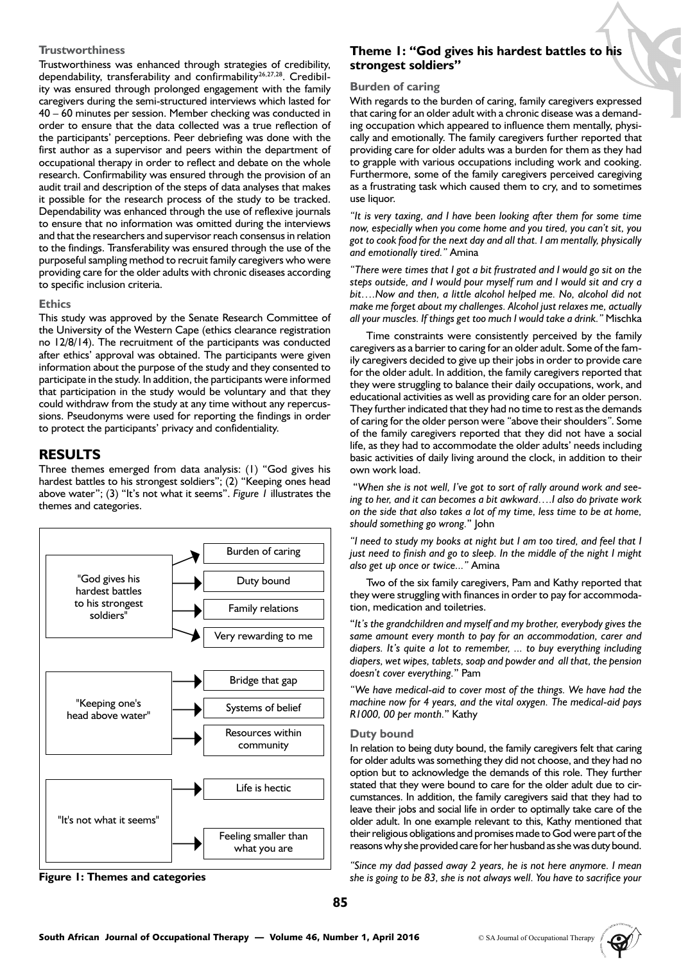### **Trustworthiness**

Trustworthiness was enhanced through strategies of credibility, dependability, transferability and confirmability<sup>26,27,28</sup>. Credibility was ensured through prolonged engagement with the family caregivers during the semi-structured interviews which lasted for 40 – 60 minutes per session. Member checking was conducted in order to ensure that the data collected was a true reflection of the participants' perceptions. Peer debriefing was done with the first author as a supervisor and peers within the department of occupational therapy in order to reflect and debate on the whole research. Confirmability was ensured through the provision of an audit trail and description of the steps of data analyses that makes it possible for the research process of the study to be tracked. Dependability was enhanced through the use of reflexive journals to ensure that no information was omitted during the interviews and that the researchers and supervisor reach consensus in relation to the findings. Transferability was ensured through the use of the purposeful sampling method to recruit family caregivers who were providing care for the older adults with chronic diseases according to specific inclusion criteria.

## **Ethics**

This study was approved by the Senate Research Committee of the University of the Western Cape (ethics clearance registration no 12/8/14). The recruitment of the participants was conducted after ethics' approval was obtained. The participants were given information about the purpose of the study and they consented to participate in the study. In addition, the participants were informed that participation in the study would be voluntary and that they could withdraw from the study at any time without any repercussions. Pseudonyms were used for reporting the findings in order to protect the participants' privacy and confidentiality.

# **RESULTS**

Three themes emerged from data analysis: (1) "God gives his hardest battles to his strongest soldiers"; (2) "Keeping ones head above water"; (3) "It's not what it seems". *Figure 1* illustrates the themes and categories.





# **Theme 1: "God gives his hardest battles to his strongest soldiers"**

#### **Burden of caring**

With regards to the burden of caring, family caregivers expressed that caring for an older adult with a chronic disease was a demanding occupation which appeared to influence them mentally, physically and emotionally. The family caregivers further reported that providing care for older adults was a burden for them as they had to grapple with various occupations including work and cooking. Furthermore, some of the family caregivers perceived caregiving as a frustrating task which caused them to cry, and to sometimes use liquor.

*"It is very taxing, and I have been looking after them for some time now, especially when you come home and you tired, you can't sit, you got to cook food for the next day and all that. I am mentally, physically and emotionally tired."* Amina

*"There were times that I got a bit frustrated and I would go sit on the steps outside, and I would pour myself rum and I would sit and cry a bit….Now and then, a little alcohol helped me. No, alcohol did not make me forget about my challenges. Alcohol just relaxes me, actually all your muscles. If things get too much I would take a drink."* Mischka

Time constraints were consistently perceived by the family caregivers as a barrier to caring for an older adult. Some of the family caregivers decided to give up their jobs in order to provide care for the older adult. In addition, the family caregivers reported that they were struggling to balance their daily occupations, work, and educational activities as well as providing care for an older person. They further indicated that they had no time to rest as the demands of caring for the older person were *"*above their shoulders*"*. Some of the family caregivers reported that they did not have a social life, as they had to accommodate the older adults' needs including basic activities of daily living around the clock, in addition to their own work load.

 "*When she is not well, I've got to sort of rally around work and seeing to her, and it can becomes a bit awkward….I also do private work on the side that also takes a lot of my time, less time to be at home, should something go wrong.*" John

*"I need to study my books at night but I am too tired, and feel that I just need to finish and go to sleep. In the middle of the night I might also get up once or twice..."* Amina

Two of the six family caregivers, Pam and Kathy reported that they were struggling with finances in order to pay for accommodation, medication and toiletries.

"*It's the grandchildren and myself and my brother, everybody gives the same amount every month to pay for an accommodation, carer and diapers. It's quite a lot to remember, ... to buy everything including diapers, wet wipes, tablets, soap and powder and all that, the pension doesn't cover everything.*" Pam

*"We have medical-aid to cover most of the things. We have had the machine now for 4 years, and the vital oxygen. The medical-aid pays R1000, 00 per month.*" Kathy

#### **Duty bound**

In relation to being duty bound, the family caregivers felt that caring for older adults was something they did not choose, and they had no option but to acknowledge the demands of this role. They further stated that they were bound to care for the older adult due to circumstances. In addition, the family caregivers said that they had to leave their jobs and social life in order to optimally take care of the older adult. In one example relevant to this, Kathy mentioned that their religious obligations and promises made to God were part of the reasons why she provided care for her husband as she was duty bound.

*"Since my dad passed away 2 years, he is not here anymore. I mean*  **Figure 1: Themes and categories** *she is going to be 83, she is not always well. You have to sacrifice your*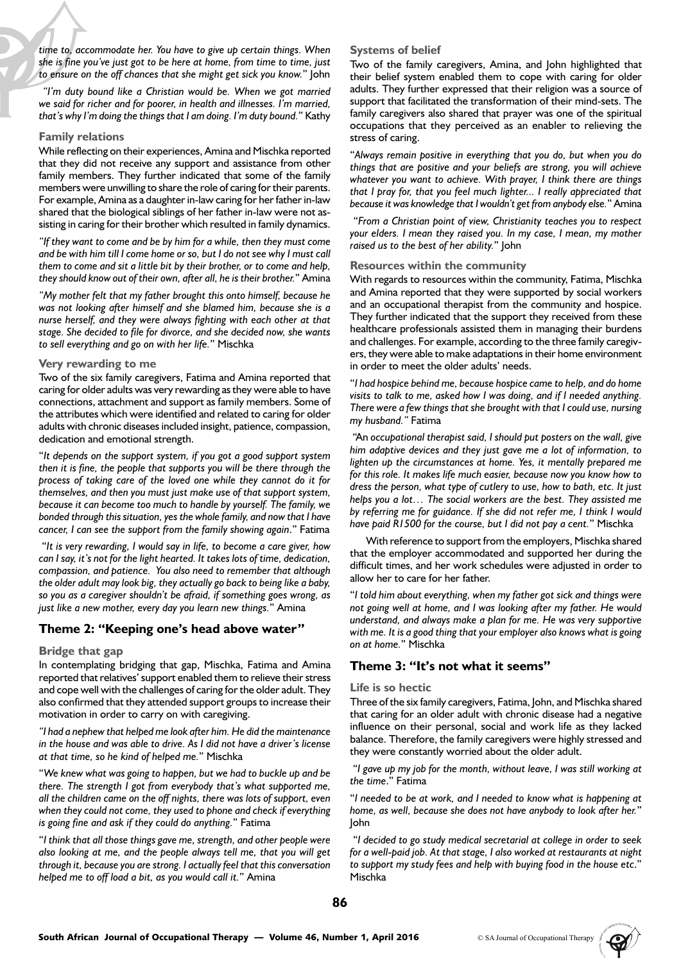*time to, accommodate her. You have to give up certain things. When she is fine you've just got to be here at home, from time to time, just to ensure on the off chances that she might get sick you know.*" John

 *"I'm duty bound like a Christian would be. When we got married we said for richer and for poorer, in health and illnesses. I'm married, that's why I'm doing the things that I am doing. I'm duty bound.*" Kathy

#### **Family relations**

While reflecting on their experiences, Amina and Mischka reported that they did not receive any support and assistance from other family members. They further indicated that some of the family members were unwilling to share the role of caring for their parents. For example, Amina as a daughter in-law caring for her father in-law shared that the biological siblings of her father in-law were not assisting in caring for their brother which resulted in family dynamics.

*"If they want to come and be by him for a while, then they must come and be with him till I come home or so, but I do not see why I must call them to come and sit a little bit by their brother, or to come and help, they should know out of their own, after all, he is their brother.*" Amina

*"My mother felt that my father brought this onto himself, because he was not looking after himself and she blamed him, because she is a nurse herself, and they were always fighting with each other at that stage. She decided to file for divorce, and she decided now, she wants to sell everything and go on with her life.*" Mischka

#### **Very rewarding to me**

Two of the six family caregivers, Fatima and Amina reported that caring for older adults was very rewarding as they were able to have connections, attachment and support as family members. Some of the attributes which were identified and related to caring for older adults with chronic diseases included insight, patience, compassion, dedication and emotional strength.

"*It depends on the support system, if you got a good support system then it is fine, the people that supports you will be there through the process of taking care of the loved one while they cannot do it for themselves, and then you must just make use of that support system, because it can become too much to handle by yourself. The family, we bonded through this situation, yes the whole family, and now that I have cancer, I can see the support from the family showing again*." Fatima

 "*It is very rewarding, I would say in life, to become a care giver, how can I say, it's not for the light hearted. It takes lots of time, dedication, compassion, and patience. You also need to remember that although the older adult may look big, they actually go back to being like a baby, so you as a caregiver shouldn't be afraid, if something goes wrong, as just like a new mother, every day you learn new things.*" Amina

## **Theme 2: "Keeping one's head above water"**

#### **Bridge that gap**

In contemplating bridging that gap, Mischka, Fatima and Amina reported that relatives' support enabled them to relieve their stress and cope well with the challenges of caring for the older adult. They also confirmed that they attended support groups to increase their motivation in order to carry on with caregiving.

*"I had a nephew that helped me look after him. He did the maintenance in the house and was able to drive. As I did not have a driver's license at that time, so he kind of helped me.*" Mischka

"*We knew what was going to happen, but we had to buckle up and be there. The strength I got from everybody that's what supported me, all the children came on the off nights, there was lots of support, even when they could not come, they used to phone and check if everything is going fine and ask if they could do anything.*" Fatima

"*I think that all those things gave me, strength, and other people were also looking at me, and the people always tell me, that you will get through it, because you are strong. I actually feel that this conversation helped me to off load a bit, as you would call it.*" Amina

#### **Systems of belief**

Two of the family caregivers, Amina, and John highlighted that their belief system enabled them to cope with caring for older adults. They further expressed that their religion was a source of support that facilitated the transformation of their mind-sets. The family caregivers also shared that prayer was one of the spiritual occupations that they perceived as an enabler to relieving the stress of caring.

"*Always remain positive in everything that you do, but when you do things that are positive and your beliefs are strong, you will achieve whatever you want to achieve. With prayer, I think there are things that I pray for, that you feel much lighter... I really appreciated that because it was knowledge that I wouldn't get from anybody else.*" Amina

 "*From a Christian point of view, Christianity teaches you to respect your elders. I mean they raised you. In my case, I mean, my mother raised us to the best of her ability.*" John

#### **Resources within the community**

With regards to resources within the community, Fatima, Mischka and Amina reported that they were supported by social workers and an occupational therapist from the community and hospice. They further indicated that the support they received from these healthcare professionals assisted them in managing their burdens and challenges. For example, according to the three family caregivers, they were able to make adaptations in their home environment in order to meet the older adults' needs.

"*I had hospice behind me, because hospice came to help, and do home visits to talk to me, asked how I was doing, and if I needed anything. There were a few things that she brought with that I could use, nursing my husband."* Fatima

 "An *occupational therapist said, I should put posters on the wall, give him adaptive devices and they just gave me a lot of information, to lighten up the circumstances at home. Yes, it mentally prepared me for this role. It makes life much easier, because now you know how to dress the person, what type of cutlery to use, how to bath, etc. It just helps you a lot… The social workers are the best. They assisted me by referring me for guidance. If she did not refer me, I think I would have paid R1500 for the course, but I did not pay a cent.*" Mischka

With reference to support from the employers, Mischka shared that the employer accommodated and supported her during the difficult times, and her work schedules were adjusted in order to allow her to care for her father.

"*I told him about everything, when my father got sick and things were not going well at home, and I was looking after my father. He would understand, and always make a plan for me. He was very supportive with me. It is a good thing that your employer also knows what is going on at home.*" Mischka

## **Theme 3: "It's not what it seems"**

#### **Life is so hectic**

Three of the six family caregivers, Fatima, John, and Mischka shared that caring for an older adult with chronic disease had a negative influence on their personal, social and work life as they lacked balance. Therefore, the family caregivers were highly stressed and they were constantly worried about the older adult.

 "*I gave up my job for the month, without leave, I was still working at the time*." Fatima

"*I needed to be at work, and I needed to know what is happening at home, as well, because she does not have anybody to look after her.*" John

 "*I decided to go study medical secretarial at college in order to seek for a well-paid job. At that stage, I also worked at restaurants at night to support my study fees and help with buying food in the house etc*." Mischka

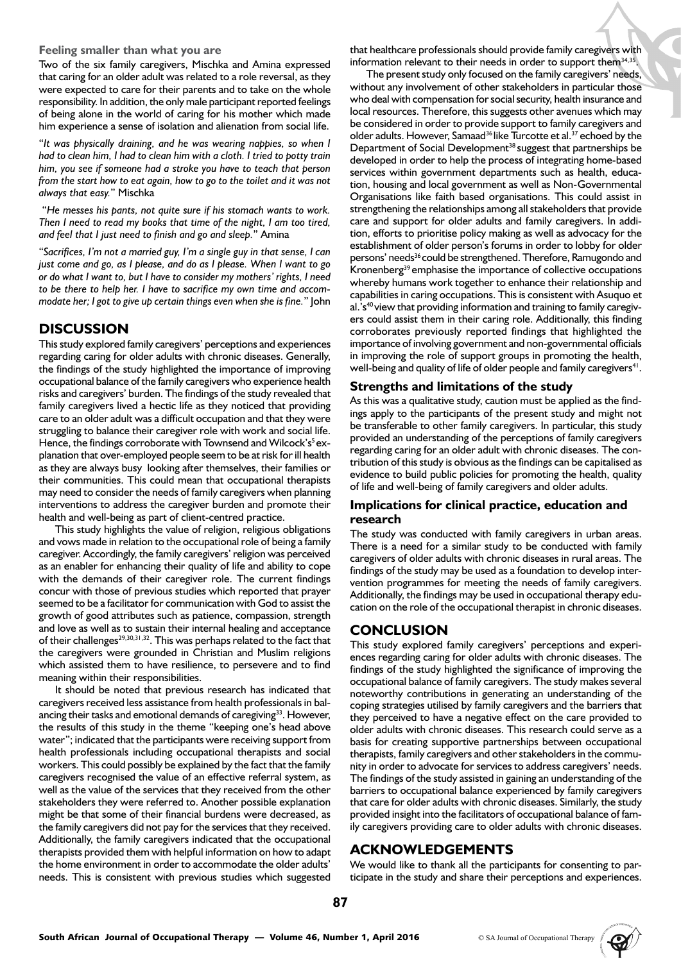#### **Feeling smaller than what you are**

Two of the six family caregivers, Mischka and Amina expressed that caring for an older adult was related to a role reversal, as they were expected to care for their parents and to take on the whole responsibility. In addition, the only male participant reported feelings of being alone in the world of caring for his mother which made him experience a sense of isolation and alienation from social life.

"*It was physically draining, and he was wearing nappies, so when I had to clean him, I had to clean him with a cloth. I tried to potty train him, you see if someone had a stroke you have to teach that person from the start how to eat again, how to go to the toilet and it was not always that easy.*" Mischka

 "*He messes his pants, not quite sure if his stomach wants to work. Then I need to read my books that time of the night, I am too tired, and feel that I just need to finish and go and sleep.*" Amina

"*Sacrifices, I'm not a married guy, I'm a single guy in that sense, I can just come and go, as I please, and do as I please. When I want to go or do what I want to, but I have to consider my mothers' rights, I need to be there to help her. I have to sacrifice my own time and accommodate her; I got to give up certain things even when she is fine.*" John

# **DISCUSSION**

This study explored family caregivers' perceptions and experiences regarding caring for older adults with chronic diseases. Generally, the findings of the study highlighted the importance of improving occupational balance of the family caregivers who experience health risks and caregivers' burden. The findings of the study revealed that family caregivers lived a hectic life as they noticed that providing care to an older adult was a difficult occupation and that they were struggling to balance their caregiver role with work and social life. Hence, the findings corroborate with Townsend and Wilcock's<sup>5</sup> explanation that over-employed people seem to be at risk for ill health as they are always busy looking after themselves, their families or their communities. This could mean that occupational therapists may need to consider the needs of family caregivers when planning interventions to address the caregiver burden and promote their health and well-being as part of client-centred practice.

This study highlights the value of religion, religious obligations and vows made in relation to the occupational role of being a family caregiver. Accordingly, the family caregivers' religion was perceived as an enabler for enhancing their quality of life and ability to cope with the demands of their caregiver role. The current findings concur with those of previous studies which reported that prayer seemed to be a facilitator for communication with God to assist the growth of good attributes such as patience, compassion, strength and love as well as to sustain their internal healing and acceptance of their challenges<sup>29,30,31,32</sup>. This was perhaps related to the fact that the caregivers were grounded in Christian and Muslim religions which assisted them to have resilience, to persevere and to find meaning within their responsibilities.

It should be noted that previous research has indicated that caregivers received less assistance from health professionals in balancing their tasks and emotional demands of caregiving<sup>33</sup>. However, the results of this study in the theme "keeping one's head above water"; indicated that the participants were receiving support from health professionals including occupational therapists and social workers. This could possibly be explained by the fact that the family caregivers recognised the value of an effective referral system, as well as the value of the services that they received from the other stakeholders they were referred to. Another possible explanation might be that some of their financial burdens were decreased, as the family caregivers did not pay for the services that they received. Additionally, the family caregivers indicated that the occupational therapists provided them with helpful information on how to adapt the home environment in order to accommodate the older adults' needs. This is consistent with previous studies which suggested

that healthcare professionals should provide family caregivers with information relevant to their needs in order to support them<sup>34,35</sup>.

The present study only focused on the family caregivers' needs, without any involvement of other stakeholders in particular those who deal with compensation for social security, health insurance and local resources. Therefore, this suggests other avenues which may be considered in order to provide support to family caregivers and older adults. However, Samaad<sup>36</sup> like Turcotte et al.<sup>37</sup> echoed by the Department of Social Development<sup>38</sup> suggest that partnerships be developed in order to help the process of integrating home-based services within government departments such as health, education, housing and local government as well as Non-Governmental Organisations like faith based organisations. This could assist in strengthening the relationships among all stakeholders that provide care and support for older adults and family caregivers. In addition, efforts to prioritise policy making as well as advocacy for the establishment of older person's forums in order to lobby for older persons' needs<sup>36</sup> could be strengthened. Therefore, Ramugondo and Kronenberg39 emphasise the importance of collective occupations whereby humans work together to enhance their relationship and capabilities in caring occupations. This is consistent with Asuquo et al.'s $40$  view that providing information and training to family caregivers could assist them in their caring role. Additionally, this finding corroborates previously reported findings that highlighted the importance of involving government and non-governmental officials in improving the role of support groups in promoting the health, well-being and quality of life of older people and family caregivers<sup>41</sup>.

# **Strengths and limitations of the study**

As this was a qualitative study, caution must be applied as the findings apply to the participants of the present study and might not be transferable to other family caregivers. In particular, this study provided an understanding of the perceptions of family caregivers regarding caring for an older adult with chronic diseases. The contribution of this study is obvious as the findings can be capitalised as evidence to build public policies for promoting the health, quality of life and well-being of family caregivers and older adults.

# **Implications for clinical practice, education and research**

The study was conducted with family caregivers in urban areas. There is a need for a similar study to be conducted with family caregivers of older adults with chronic diseases in rural areas. The findings of the study may be used as a foundation to develop intervention programmes for meeting the needs of family caregivers. Additionally, the findings may be used in occupational therapy education on the role of the occupational therapist in chronic diseases.

# **CONCLUSION**

This study explored family caregivers' perceptions and experiences regarding caring for older adults with chronic diseases. The findings of the study highlighted the significance of improving the occupational balance of family caregivers. The study makes several noteworthy contributions in generating an understanding of the coping strategies utilised by family caregivers and the barriers that they perceived to have a negative effect on the care provided to older adults with chronic diseases. This research could serve as a basis for creating supportive partnerships between occupational therapists, family caregivers and other stakeholders in the community in order to advocate for services to address caregivers' needs. The findings of the study assisted in gaining an understanding of the barriers to occupational balance experienced by family caregivers that care for older adults with chronic diseases. Similarly, the study provided insight into the facilitators of occupational balance of family caregivers providing care to older adults with chronic diseases.

# **ACKNOWLEDGEMENTS**

We would like to thank all the participants for consenting to participate in the study and share their perceptions and experiences.